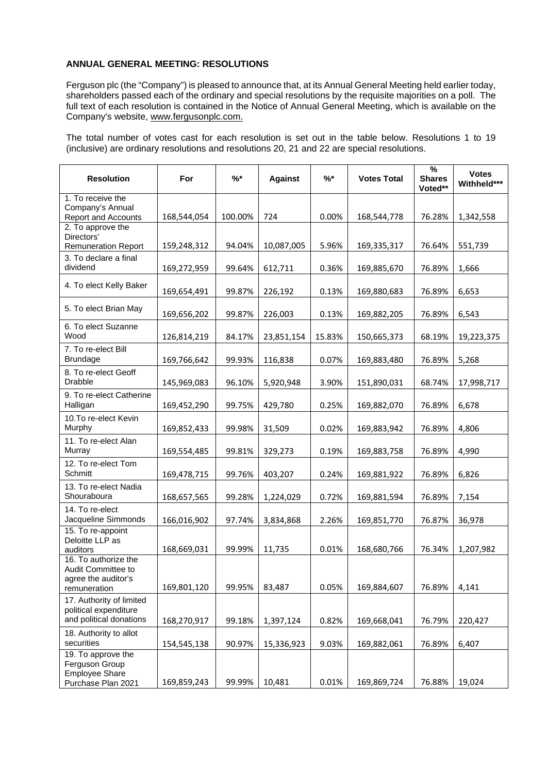## **ANNUAL GENERAL MEETING: RESOLUTIONS**

Ferguson plc (the "Company") is pleased to announce that, at its Annual General Meeting held earlier today, shareholders passed each of the ordinary and special resolutions by the requisite majorities on a poll. The full text of each resolution is contained in the Notice of Annual General Meeting, which is available on the Company's website, [www.fergusonplc.com.](http://www.fergusonplc.com/)

The total number of votes cast for each resolution is set out in the table below. Resolutions 1 to 19 (inclusive) are ordinary resolutions and resolutions 20, 21 and 22 are special resolutions.

| <b>Resolution</b>                                                                   | For         | $\frac{9}{6}$ * | <b>Against</b> | $\frac{9}{6}$ * | <b>Votes Total</b> | $\%$<br><b>Shares</b><br>Voted** | <b>Votes</b><br>Withheld*** |
|-------------------------------------------------------------------------------------|-------------|-----------------|----------------|-----------------|--------------------|----------------------------------|-----------------------------|
| 1. To receive the<br>Company's Annual<br><b>Report and Accounts</b>                 | 168,544,054 | 100.00%         | 724            | 0.00%           | 168,544,778        | 76.28%                           | 1,342,558                   |
| 2. To approve the<br>Directors'<br><b>Remuneration Report</b>                       | 159,248,312 | 94.04%          | 10,087,005     | 5.96%           | 169,335,317        | 76.64%                           | 551,739                     |
| 3. To declare a final<br>dividend                                                   | 169,272,959 | 99.64%          | 612,711        | 0.36%           | 169,885,670        | 76.89%                           | 1,666                       |
| 4. To elect Kelly Baker                                                             | 169,654,491 | 99.87%          | 226,192        | 0.13%           | 169,880,683        | 76.89%                           | 6,653                       |
| 5. To elect Brian May                                                               | 169,656,202 | 99.87%          | 226,003        | 0.13%           | 169,882,205        | 76.89%                           | 6,543                       |
| 6. To elect Suzanne<br>Wood                                                         | 126,814,219 | 84.17%          | 23,851,154     | 15.83%          | 150,665,373        | 68.19%                           | 19,223,375                  |
| 7. To re-elect Bill<br><b>Brundage</b>                                              | 169,766,642 | 99.93%          | 116,838        | 0.07%           | 169,883,480        | 76.89%                           | 5,268                       |
| 8. To re-elect Geoff<br><b>Drabble</b>                                              | 145,969,083 | 96.10%          | 5,920,948      | 3.90%           | 151,890,031        | 68.74%                           | 17,998,717                  |
| 9. To re-elect Catherine<br>Halligan                                                | 169,452,290 | 99.75%          | 429,780        | 0.25%           | 169,882,070        | 76.89%                           | 6,678                       |
| 10.To re-elect Kevin<br>Murphy                                                      | 169,852,433 | 99.98%          | 31,509         | 0.02%           | 169,883,942        | 76.89%                           | 4,806                       |
| 11. To re-elect Alan<br>Murray                                                      | 169,554,485 | 99.81%          | 329,273        | 0.19%           | 169,883,758        | 76.89%                           | 4,990                       |
| 12. To re-elect Tom<br>Schmitt                                                      | 169,478,715 | 99.76%          | 403,207        | 0.24%           | 169,881,922        | 76.89%                           | 6,826                       |
| 13. To re-elect Nadia<br>Shouraboura                                                | 168,657,565 | 99.28%          | 1,224,029      | 0.72%           | 169,881,594        | 76.89%                           | 7,154                       |
| 14. To re-elect<br>Jacqueline Simmonds                                              | 166,016,902 | 97.74%          | 3,834,868      | 2.26%           | 169,851,770        | 76.87%                           | 36,978                      |
| 15. To re-appoint<br>Deloitte LLP as<br>auditors                                    | 168,669,031 | 99.99%          | 11,735         | 0.01%           | 168,680,766        | 76.34%                           | 1,207,982                   |
| 16. To authorize the<br>Audit Committee to<br>agree the auditor's                   |             |                 |                |                 |                    |                                  |                             |
| remuneration<br>17. Authority of limited                                            | 169,801,120 | 99.95%          | 83,487         | 0.05%           | 169,884,607        | 76.89%                           | 4,141                       |
| political expenditure<br>and political donations                                    | 168,270,917 | 99.18%          | 1,397,124      | 0.82%           | 169,668,041        | 76.79%                           | 220,427                     |
| 18. Authority to allot<br>securities                                                | 154,545,138 | 90.97%          | 15,336,923     | 9.03%           | 169,882,061        | 76.89%                           | 6,407                       |
| 19. To approve the<br>Ferguson Group<br><b>Employee Share</b><br>Purchase Plan 2021 | 169,859,243 | 99.99%          | 10,481         | 0.01%           | 169,869,724        | 76.88%                           | 19,024                      |